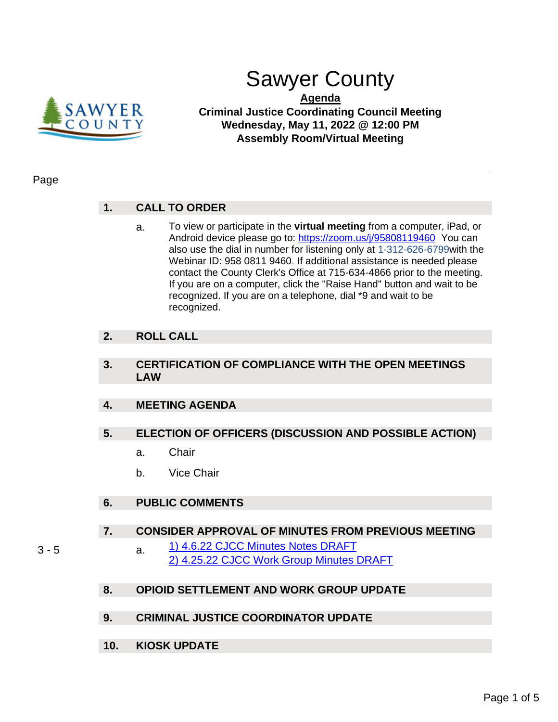

# Sawyer County

**Agenda Criminal Justice Coordinating Council Meeting Wednesday, May 11, 2022 @ 12:00 PM Assembly Room/Virtual Meeting**

### Page

# **1. CALL TO ORDER**

a. To view or participate in the **virtual meeting** from a computer, iPad, or Android device please go to:<https://zoom.us/j/95808119460>You can also use the dial in number for listening only at 1-312-626-6799with the Webinar ID: 958 0811 9460. If additional assistance is needed please contact the County Clerk's Office at 715-634-4866 prior to the meeting. If you are on a computer, click the "Raise Hand" button and wait to be recognized. If you are on a telephone, dial \*9 and wait to be recognized.

# **2. ROLL CALL**

# **3. CERTIFICATION OF COMPLIANCE WITH THE OPEN MEETINGS LAW**

# **4. MEETING AGENDA**

# **5. ELECTION OF OFFICERS (DISCUSSION AND POSSIBLE ACTION)**

- a. Chair
- b. Vice Chair

# **6. PUBLIC COMMENTS**

## **7. CONSIDER APPROVAL OF MINUTES FROM PREVIOUS MEETING**

- 
- 3 5 **a.** [1\) 4.6.22 CJCC Minutes Notes DRAFT](#page-2-0) [2\) 4.25.22 CJCC Work Group Minutes DRAFT](#page-4-0)

# **8. OPIOID SETTLEMENT AND WORK GROUP UPDATE**

- **9. CRIMINAL JUSTICE COORDINATOR UPDATE**
- **10. KIOSK UPDATE**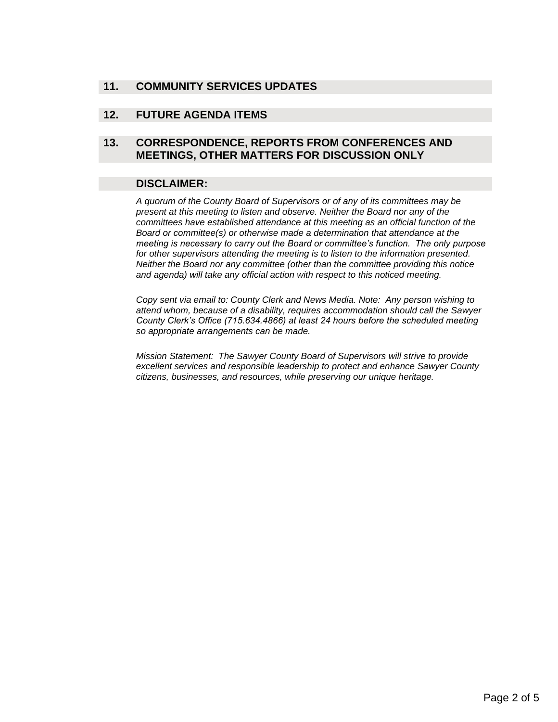# **11. COMMUNITY SERVICES UPDATES**

### **12. FUTURE AGENDA ITEMS**

# **13. CORRESPONDENCE, REPORTS FROM CONFERENCES AND MEETINGS, OTHER MATTERS FOR DISCUSSION ONLY**

#### **DISCLAIMER:**

*A quorum of the County Board of Supervisors or of any of its committees may be present at this meeting to listen and observe. Neither the Board nor any of the committees have established attendance at this meeting as an official function of the Board or committee(s) or otherwise made a determination that attendance at the meeting is necessary to carry out the Board or committee's function. The only purpose for other supervisors attending the meeting is to listen to the information presented. Neither the Board nor any committee (other than the committee providing this notice and agenda) will take any official action with respect to this noticed meeting.*

*Copy sent via email to: County Clerk and News Media. Note: Any person wishing to attend whom, because of a disability, requires accommodation should call the Sawyer County Clerk's Office (715.634.4866) at least 24 hours before the scheduled meeting so appropriate arrangements can be made.* 

*Mission Statement: The Sawyer County Board of Supervisors will strive to provide excellent services and responsible leadership to protect and enhance Sawyer County citizens, businesses, and resources, while preserving our unique heritage.*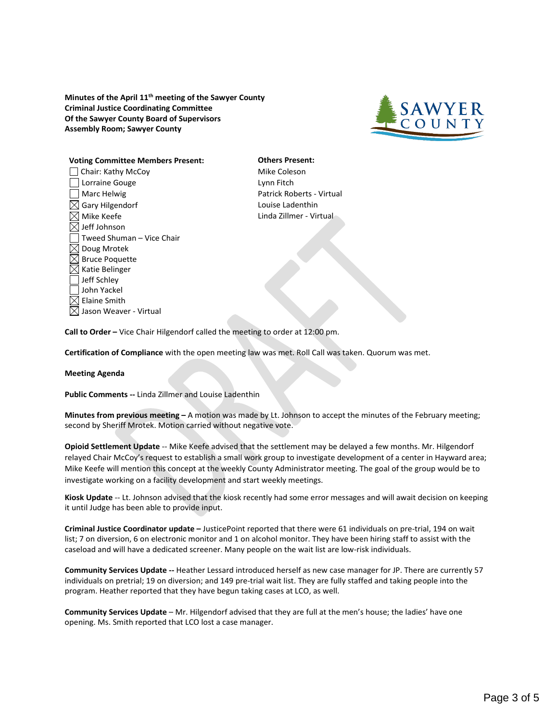<span id="page-2-0"></span>**Minutes of the April 11th meeting of the Sawyer County Criminal Justice Coordinating Committee Of the Sawyer County Board of Supervisors Assembly Room; Sawyer County**



#### **Voting Committee Members Present: Others Present:**

□ Chair: Kathy McCoy Mike Coleson Lorraine Gouge **Lynn** Fitch Marc Helwig **Patrick Roberts - Virtual**  $\boxtimes$  Gary Hilgendorf  $\Box$  Louise Ladenthin  $\boxtimes$  Mike Keefe  $\boxtimes$  Linda Zillmer - Virtual  $\boxtimes$  Jeff Johnson Tweed Shuman – Vice Chair  $\boxtimes$  Doug Mrotek  $\boxtimes$  Bruce Poquette  $\boxtimes$  Katie Belinger Jeff Schley John Yackel  $\boxtimes$  Elaine Smith  $\boxtimes$  Jason Weaver - Virtual

**Call to Order –** Vice Chair Hilgendorf called the meeting to order at 12:00 pm.

**Certification of Compliance** with the open meeting law was met. Roll Call was taken. Quorum was met.

#### **Meeting Agenda**

**Public Comments --** Linda Zillmer and Louise Ladenthin

**Minutes from previous meeting –** A motion was made by Lt. Johnson to accept the minutes of the February meeting; second by Sheriff Mrotek. Motion carried without negative vote.

**Opioid Settlement Update** -- Mike Keefe advised that the settlement may be delayed a few months. Mr. Hilgendorf relayed Chair McCoy's request to establish a small work group to investigate development of a center in Hayward area; Mike Keefe will mention this concept at the weekly County Administrator meeting. The goal of the group would be to investigate working on a facility development and start weekly meetings.

**Kiosk Update** -- Lt. Johnson advised that the kiosk recently had some error messages and will await decision on keeping it until Judge has been able to provide input.

**Criminal Justice Coordinator update –** JusticePoint reported that there were 61 individuals on pre-trial, 194 on wait list; 7 on diversion, 6 on electronic monitor and 1 on alcohol monitor. They have been hiring staff to assist with the caseload and will have a dedicated screener. Many people on the wait list are low-risk individuals.

**Community Services Update --** Heather Lessard introduced herself as new case manager for JP. There are currently 57 individuals on pretrial; 19 on diversion; and 149 pre-trial wait list. They are fully staffed and taking people into the program. Heather reported that they have begun taking cases at LCO, as well.

**Community Services Update** – Mr. Hilgendorf advised that they are full at the men's house; the ladies' have one opening. Ms. Smith reported that LCO lost a case manager.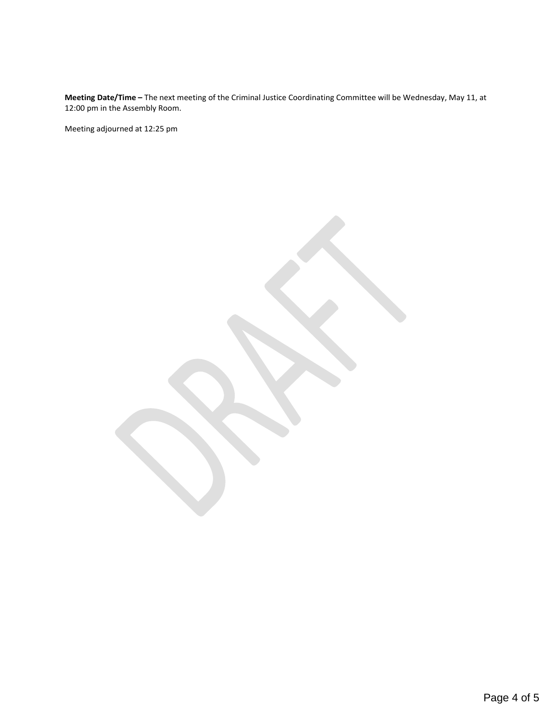**Meeting Date/Time –** The next meeting of the Criminal Justice Coordinating Committee will be Wednesday, May 11, at 12:00 pm in the Assembly Room.

Meeting adjourned at 12:25 pm